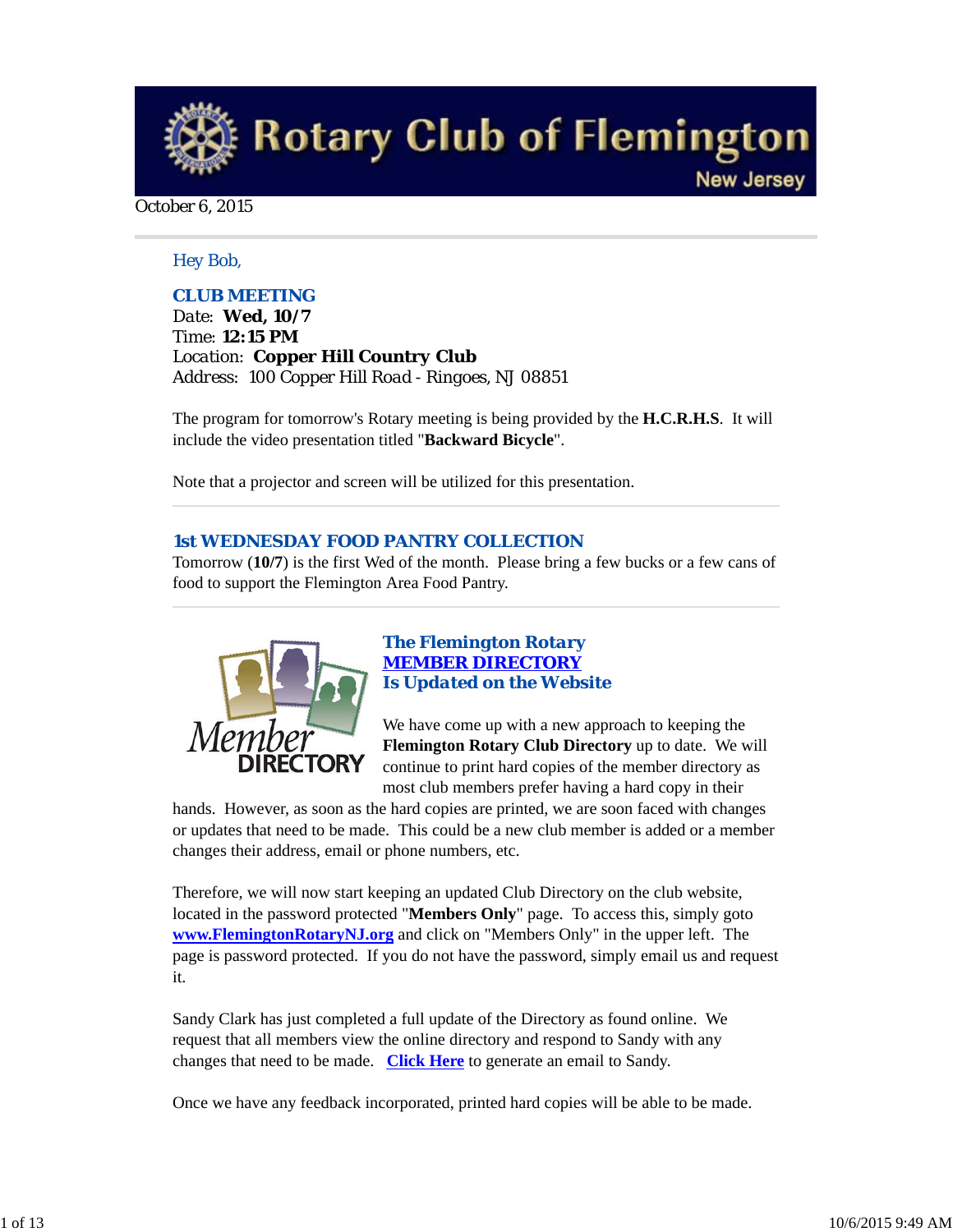**Rotary Club of Flemington New Jersey** 

### October 6, 2015

## *Hey Bob,*

## *CLUB MEETING*

*Date: Wed, 10/7 Time: 12:15 PM Location: Copper Hill Country Club Address: 100 Copper Hill Road - Ringoes, NJ 08851*

The program for tomorrow's Rotary meeting is being provided by the **H.C.R.H.S**. It will include the video presentation titled "**Backward Bicycle**".

Note that a projector and screen will be utilized for this presentation.

### *1st WEDNESDAY FOOD PANTRY COLLECTION*

Tomorrow (**10/7**) is the first Wed of the month. Please bring a few bucks or a few cans of food to support the Flemington Area Food Pantry.



## *The Flemington Rotary MEMBER DIRECTORY Is Updated on the Website*

We have come up with a new approach to keeping the **Flemington Rotary Club Directory** up to date. We will continue to print hard copies of the member directory as most club members prefer having a hard copy in their

hands. However, as soon as the hard copies are printed, we are soon faced with changes or updates that need to be made. This could be a new club member is added or a member changes their address, email or phone numbers, etc.

Therefore, we will now start keeping an updated Club Directory on the club website, located in the password protected "**Members Only**" page. To access this, simply goto **www.FlemingtonRotaryNJ.org** and click on "Members Only" in the upper left. The page is password protected. If you do not have the password, simply email us and request it.

Sandy Clark has just completed a full update of the Directory as found online. We request that all members view the online directory and respond to Sandy with any changes that need to be made. **Click Here** to generate an email to Sandy.

Once we have any feedback incorporated, printed hard copies will be able to be made.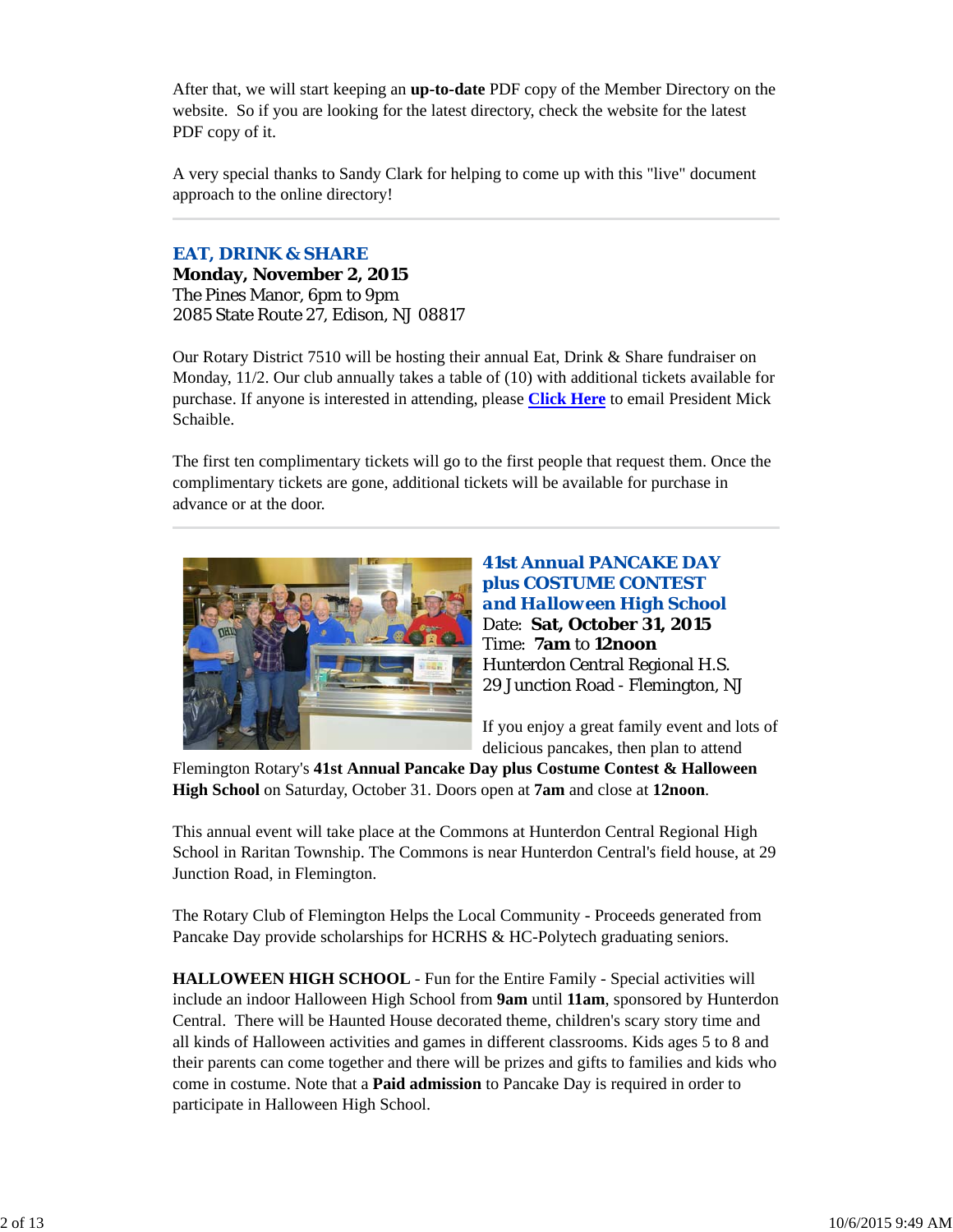After that, we will start keeping an **up-to-date** PDF copy of the Member Directory on the website. So if you are looking for the latest directory, check the website for the latest PDF copy of it.

A very special thanks to Sandy Clark for helping to come up with this "live" document approach to the online directory!

### *EAT, DRINK & SHARE*

**Monday, November 2, 2015** The Pines Manor, 6pm to 9pm 2085 State Route 27, Edison, NJ 08817

Our Rotary District 7510 will be hosting their annual Eat, Drink & Share fundraiser on Monday, 11/2. Our club annually takes a table of (10) with additional tickets available for purchase. If anyone is interested in attending, please **Click Here** to email President Mick Schaible.

The first ten complimentary tickets will go to the first people that request them. Once the complimentary tickets are gone, additional tickets will be available for purchase in advance or at the door.



**41st Annual PANCAKE DAY plus COSTUME CONTEST**  *and Halloween High School* Date: **Sat, October 31, 2015** Time: **7am** to **12noon** Hunterdon Central Regional H.S. 29 Junction Road - Flemington, NJ

If you enjoy a great family event and lots of delicious pancakes, then plan to attend

Flemington Rotary's **41st Annual Pancake Day plus Costume Contest & Halloween High School** on Saturday, October 31. Doors open at **7am** and close at **12noon**.

This annual event will take place at the Commons at Hunterdon Central Regional High School in Raritan Township. The Commons is near Hunterdon Central's field house, at 29 Junction Road, in Flemington.

The Rotary Club of Flemington Helps the Local Community - Proceeds generated from Pancake Day provide scholarships for HCRHS & HC-Polytech graduating seniors.

**HALLOWEEN HIGH SCHOOL** - Fun for the Entire Family - Special activities will include an indoor Halloween High School from **9am** until **11am**, sponsored by Hunterdon Central. There will be Haunted House decorated theme, children's scary story time and all kinds of Halloween activities and games in different classrooms. Kids ages 5 to 8 and their parents can come together and there will be prizes and gifts to families and kids who come in costume. Note that a **Paid admission** to Pancake Day is required in order to participate in Halloween High School.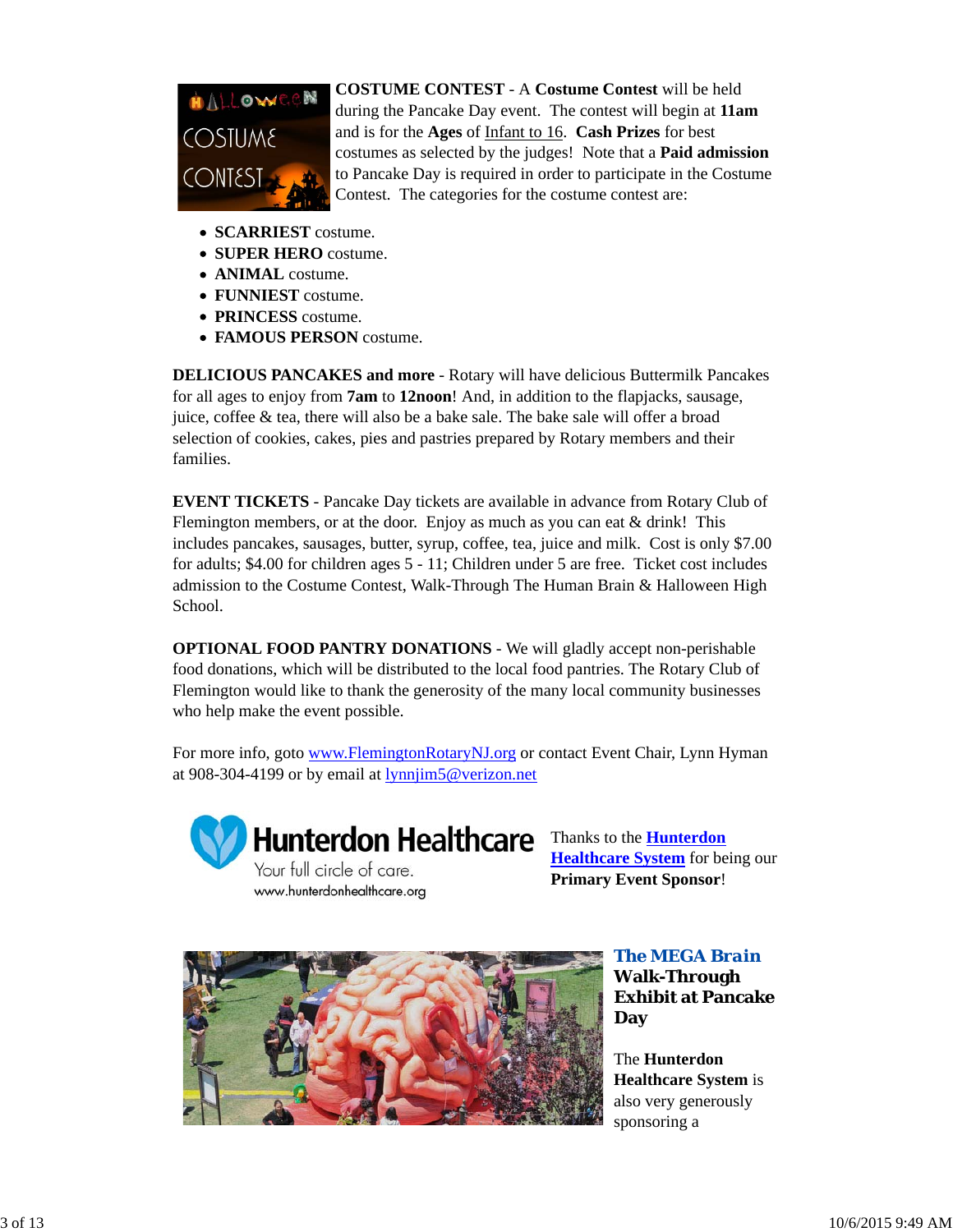

**COSTUME CONTEST** - A **Costume Contest** will be held during the Pancake Day event. The contest will begin at **11am** and is for the **Ages** of Infant to 16. **Cash Prizes** for best costumes as selected by the judges! Note that a **Paid admission** to Pancake Day is required in order to participate in the Costume Contest. The categories for the costume contest are:

- **SCARRIEST** costume.
- **SUPER HERO** costume.
- **ANIMAL** costume.
- **FUNNIEST** costume.
- **PRINCESS** costume.
- **FAMOUS PERSON** costume.

**DELICIOUS PANCAKES and more** - Rotary will have delicious Buttermilk Pancakes for all ages to enjoy from **7am** to **12noon**! And, in addition to the flapjacks, sausage, juice, coffee & tea, there will also be a bake sale. The bake sale will offer a broad selection of cookies, cakes, pies and pastries prepared by Rotary members and their families.

**EVENT TICKETS** - Pancake Day tickets are available in advance from Rotary Club of Flemington members, or at the door. Enjoy as much as you can eat  $&$  drink! This includes pancakes, sausages, butter, syrup, coffee, tea, juice and milk. Cost is only \$7.00 for adults; \$4.00 for children ages 5 - 11; Children under 5 are free. Ticket cost includes admission to the Costume Contest, Walk-Through The Human Brain & Halloween High School.

**OPTIONAL FOOD PANTRY DONATIONS** - We will gladly accept non-perishable food donations, which will be distributed to the local food pantries. The Rotary Club of Flemington would like to thank the generosity of the many local community businesses who help make the event possible.

For more info, goto www.FlemingtonRotaryNJ.org or contact Event Chair, Lynn Hyman at 908-304-4199 or by email at lynnjim5@verizon.net



Hunterdon Healthcare Thanks to the **Hunterdon** 

Your full circle of care. www.hunterdonhealthcare.org

**Healthcare System** for being our **Primary Event Sponsor**!



*The MEGA Brain* **Walk-Through Exhibit at Pancake Day**

The **Hunterdon Healthcare System** is also very generously sponsoring a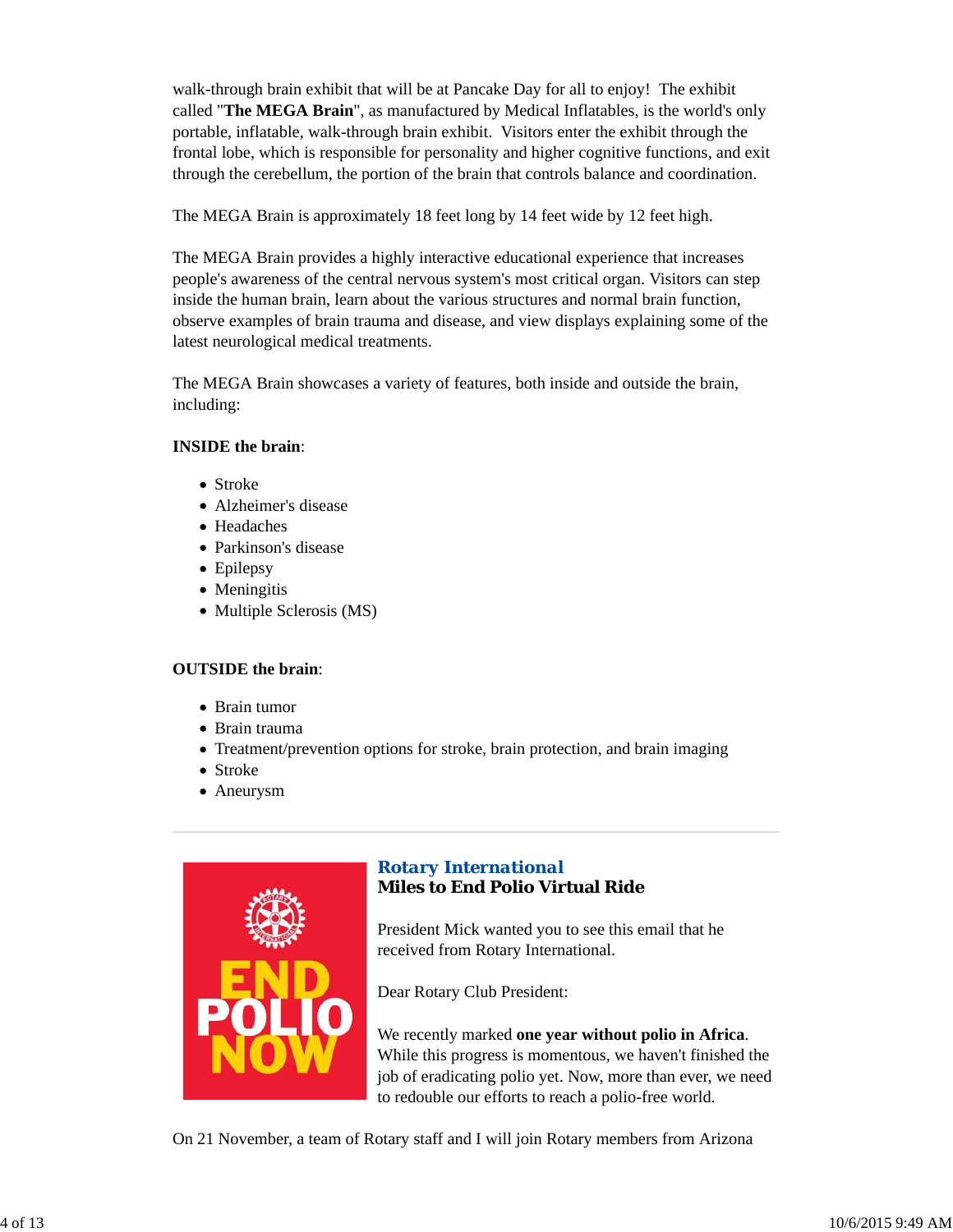walk-through brain exhibit that will be at Pancake Day for all to enjoy! The exhibit called "**The MEGA Brain**", as manufactured by Medical Inflatables, is the world's only portable, inflatable, walk-through brain exhibit. Visitors enter the exhibit through the frontal lobe, which is responsible for personality and higher cognitive functions, and exit through the cerebellum, the portion of the brain that controls balance and coordination.

The MEGA Brain is approximately 18 feet long by 14 feet wide by 12 feet high.

The MEGA Brain provides a highly interactive educational experience that increases people's awareness of the central nervous system's most critical organ. Visitors can step inside the human brain, learn about the various structures and normal brain function, observe examples of brain trauma and disease, and view displays explaining some of the latest neurological medical treatments.

The MEGA Brain showcases a variety of features, both inside and outside the brain, including:

### **INSIDE the brain**:

- Stroke
- Alzheimer's disease
- Headaches
- Parkinson's disease
- Epilepsy
- Meningitis
- Multiple Sclerosis (MS)

## **OUTSIDE the brain**:

- Brain tumor
- Brain trauma
- Treatment/prevention options for stroke, brain protection, and brain imaging
- Stroke
- Aneurysm



# *Rotary International* **Miles to End Polio Virtual Ride**

President Mick wanted you to see this email that he received from Rotary International.

Dear Rotary Club President:

We recently marked **one year without polio in Africa**. While this progress is momentous, we haven't finished the job of eradicating polio yet. Now, more than ever, we need to redouble our efforts to reach a polio-free world.

On 21 November, a team of Rotary staff and I will join Rotary members from Arizona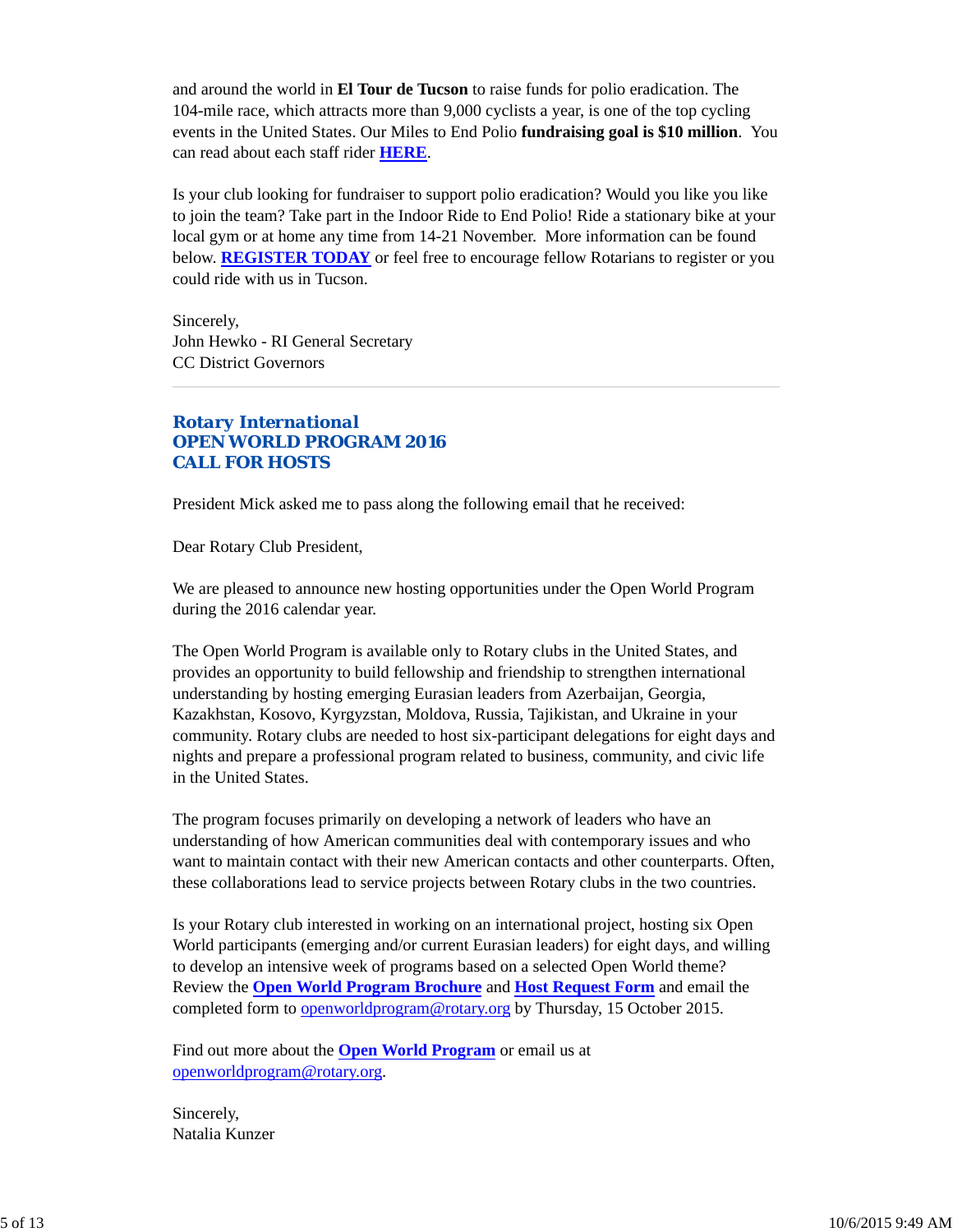and around the world in **El Tour de Tucson** to raise funds for polio eradication. The 104-mile race, which attracts more than 9,000 cyclists a year, is one of the top cycling events in the United States. Our Miles to End Polio **fundraising goal is \$10 million**. You can read about each staff rider **HERE**.

Is your club looking for fundraiser to support polio eradication? Would you like you like to join the team? Take part in the Indoor Ride to End Polio! Ride a stationary bike at your local gym or at home any time from 14-21 November. More information can be found below. **REGISTER TODAY** or feel free to encourage fellow Rotarians to register or you could ride with us in Tucson.

Sincerely, John Hewko - RI General Secretary CC District Governors

## *Rotary International OPEN WORLD PROGRAM 2016 CALL FOR HOSTS*

President Mick asked me to pass along the following email that he received:

Dear Rotary Club President,

We are pleased to announce new hosting opportunities under the Open World Program during the 2016 calendar year.

The Open World Program is available only to Rotary clubs in the United States, and provides an opportunity to build fellowship and friendship to strengthen international understanding by hosting emerging Eurasian leaders from Azerbaijan, Georgia, Kazakhstan, Kosovo, Kyrgyzstan, Moldova, Russia, Tajikistan, and Ukraine in your community. Rotary clubs are needed to host six-participant delegations for eight days and nights and prepare a professional program related to business, community, and civic life in the United States.

The program focuses primarily on developing a network of leaders who have an understanding of how American communities deal with contemporary issues and who want to maintain contact with their new American contacts and other counterparts. Often, these collaborations lead to service projects between Rotary clubs in the two countries.

Is your Rotary club interested in working on an international project, hosting six Open World participants (emerging and/or current Eurasian leaders) for eight days, and willing to develop an intensive week of programs based on a selected Open World theme? Review the **Open World Program Brochure** and **Host Request Form** and email the completed form to openworldprogram@rotary.org by Thursday, 15 October 2015.

Find out more about the **Open World Program** or email us at openworldprogram@rotary.org.

Sincerely, Natalia Kunzer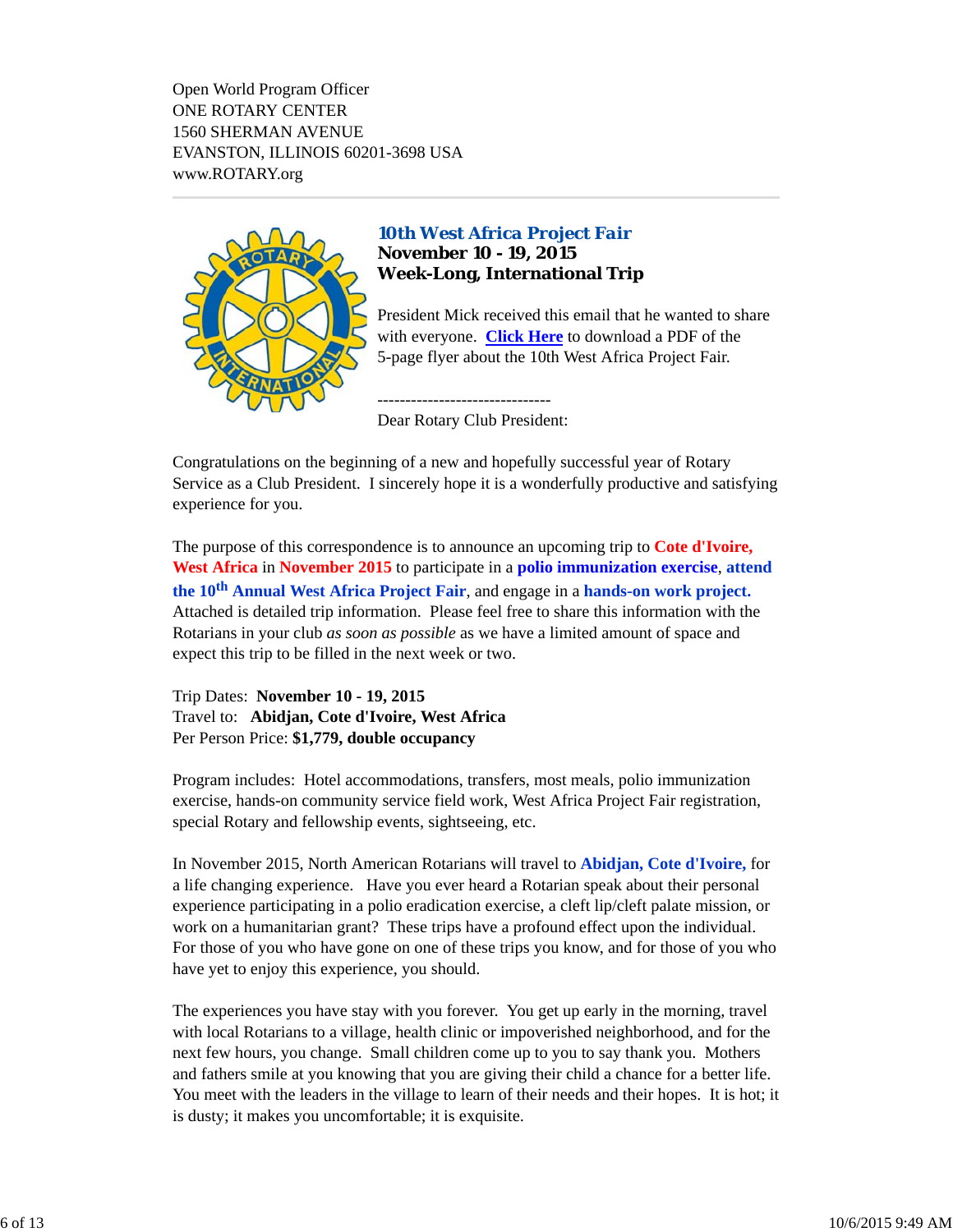Open World Program Officer ONE ROTARY CENTER 1560 SHERMAN AVENUE EVANSTON, ILLINOIS 60201-3698 USA www.ROTARY.org



## *10th West Africa Project Fair* **November 10 - 19, 2015 Week-Long, International Trip**

President Mick received this email that he wanted to share with everyone. **Click Here** to download a PDF of the 5-page flyer about the 10th West Africa Project Fair.

-------------------------------

Dear Rotary Club President:

Congratulations on the beginning of a new and hopefully successful year of Rotary Service as a Club President. I sincerely hope it is a wonderfully productive and satisfying experience for you.

The purpose of this correspondence is to announce an upcoming trip to **Cote d'Ivoire, West Africa** in **November 2015** to participate in a **polio immunization exercise**, **attend the 10th Annual West Africa Project Fair**, and engage in a **hands-on work project.** Attached is detailed trip information. Please feel free to share this information with the Rotarians in your club *as soon as possible* as we have a limited amount of space and expect this trip to be filled in the next week or two.

Trip Dates: **November 10 - 19, 2015** Travel to: **Abidjan, Cote d'Ivoire, West Africa** Per Person Price: **\$1,779, double occupancy**

Program includes: Hotel accommodations, transfers, most meals, polio immunization exercise, hands-on community service field work, West Africa Project Fair registration, special Rotary and fellowship events, sightseeing, etc.

In November 2015, North American Rotarians will travel to **Abidjan, Cote d'Ivoire,** for a life changing experience. Have you ever heard a Rotarian speak about their personal experience participating in a polio eradication exercise, a cleft lip/cleft palate mission, or work on a humanitarian grant? These trips have a profound effect upon the individual. For those of you who have gone on one of these trips you know, and for those of you who have yet to enjoy this experience, you should.

The experiences you have stay with you forever. You get up early in the morning, travel with local Rotarians to a village, health clinic or impoverished neighborhood, and for the next few hours, you change. Small children come up to you to say thank you. Mothers and fathers smile at you knowing that you are giving their child a chance for a better life. You meet with the leaders in the village to learn of their needs and their hopes. It is hot; it is dusty; it makes you uncomfortable; it is exquisite.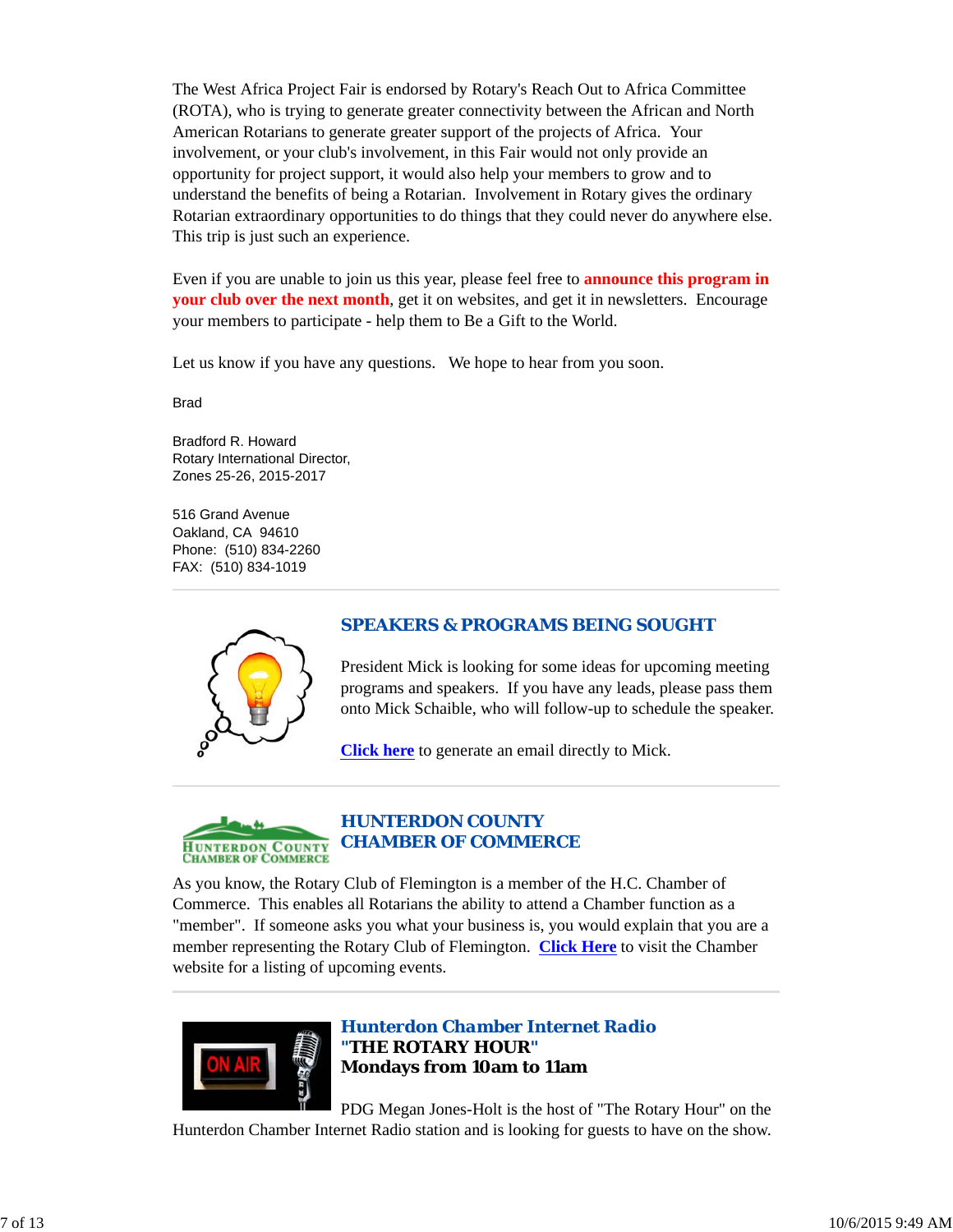The West Africa Project Fair is endorsed by Rotary's Reach Out to Africa Committee (ROTA), who is trying to generate greater connectivity between the African and North American Rotarians to generate greater support of the projects of Africa. Your involvement, or your club's involvement, in this Fair would not only provide an opportunity for project support, it would also help your members to grow and to understand the benefits of being a Rotarian. Involvement in Rotary gives the ordinary Rotarian extraordinary opportunities to do things that they could never do anywhere else. This trip is just such an experience.

Even if you are unable to join us this year, please feel free to **announce this program in your club over the next month**, get it on websites, and get it in newsletters. Encourage your members to participate - help them to Be a Gift to the World.

Let us know if you have any questions. We hope to hear from you soon.

Brad

Bradford R. Howard Rotary International Director, Zones 25-26, 2015-2017

516 Grand Avenue Oakland, CA 94610 Phone: (510) 834-2260 FAX: (510) 834-1019



# *SPEAKERS & PROGRAMS BEING SOUGHT*

President Mick is looking for some ideas for upcoming meeting programs and speakers. If you have any leads, please pass them onto Mick Schaible, who will follow-up to schedule the speaker.

**Click here** to generate an email directly to Mick.



# *HUNTERDON COUNTY CHAMBER OF COMMERCE*

As you know, the Rotary Club of Flemington is a member of the H.C. Chamber of Commerce. This enables all Rotarians the ability to attend a Chamber function as a "member". If someone asks you what your business is, you would explain that you are a member representing the Rotary Club of Flemington. **Click Here** to visit the Chamber website for a listing of upcoming events.



*Hunterdon Chamber Internet Radio "THE ROTARY HOUR"* **Mondays from 10am to 11am**

PDG Megan Jones-Holt is the host of "The Rotary Hour" on the Hunterdon Chamber Internet Radio station and is looking for guests to have on the show.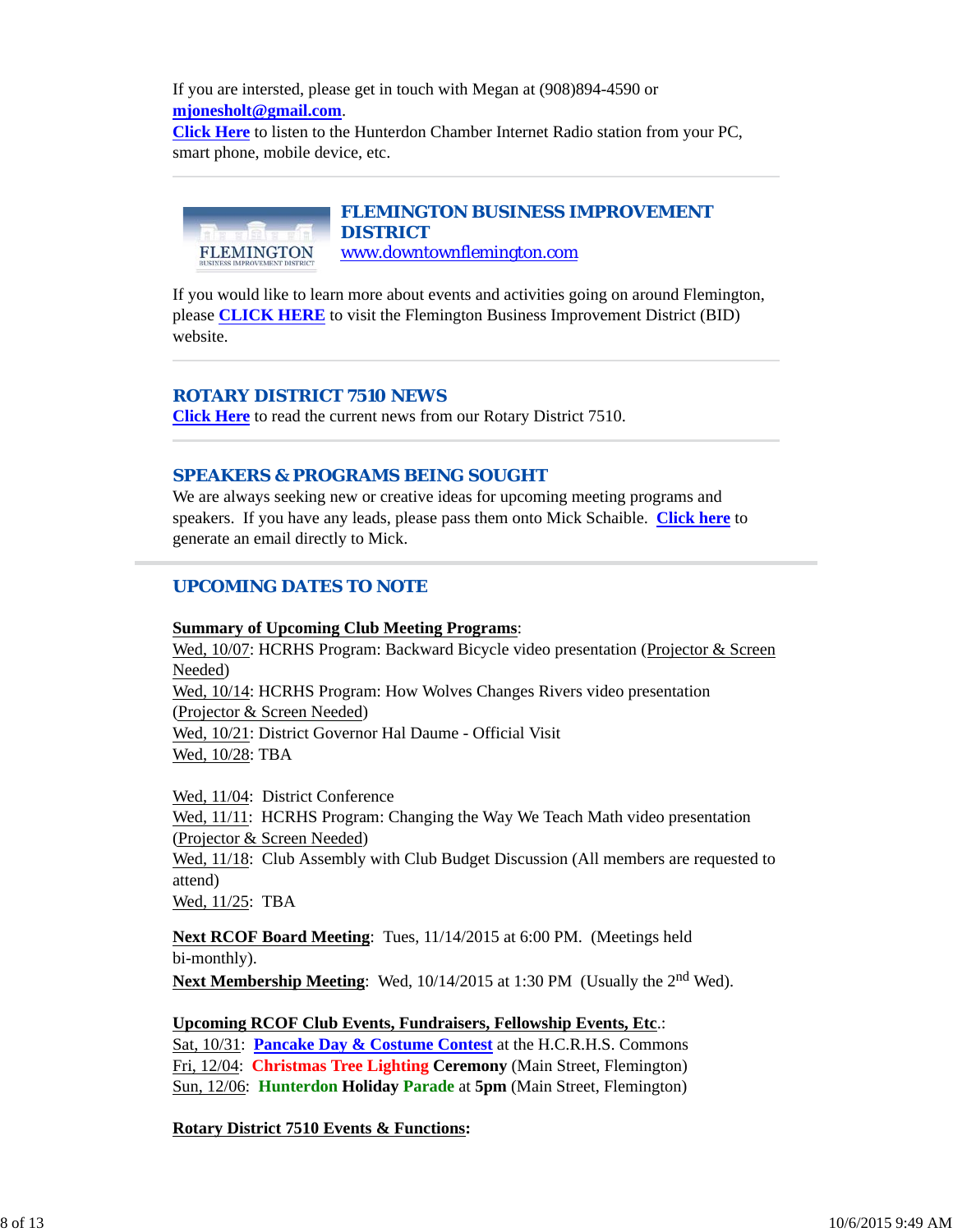If you are intersted, please get in touch with Megan at (908)894-4590 or **mjonesholt@gmail.com**. **Click Here** to listen to the Hunterdon Chamber Internet Radio station from your PC, smart phone, mobile device, etc.

#### *FLEMINGTON BUSINESS IMPROVEMENT DISTRICT* www.downtownflemington.com FLEMINGTON

If you would like to learn more about events and activities going on around Flemington, please **CLICK HERE** to visit the Flemington Business Improvement District (BID) website.

# *ROTARY DISTRICT 7510 NEWS*

**Click Here** to read the current news from our Rotary District 7510.

## *SPEAKERS & PROGRAMS BEING SOUGHT*

We are always seeking new or creative ideas for upcoming meeting programs and speakers. If you have any leads, please pass them onto Mick Schaible. **Click here** to generate an email directly to Mick.

# *UPCOMING DATES TO NOTE*

## **Summary of Upcoming Club Meeting Programs**:

Wed, 10/07: HCRHS Program: Backward Bicycle video presentation (Projector & Screen Needed)

Wed, 10/14: HCRHS Program: How Wolves Changes Rivers video presentation (Projector & Screen Needed) Wed, 10/21: District Governor Hal Daume - Official Visit

Wed, 10/28: TBA

Wed, 11/04: District Conference

Wed,  $11/11$ : HCRHS Program: Changing the Way We Teach Math video presentation (Projector & Screen Needed)

Wed,  $11/18$ : Club Assembly with Club Budget Discussion (All members are requested to attend)

Wed, 11/25: TBA

**Next RCOF Board Meeting**: Tues, 11/14/2015 at 6:00 PM. (Meetings held bi-monthly).

**Next Membership Meeting**: Wed, 10/14/2015 at 1:30 PM (Usually the 2<sup>nd</sup> Wed).

**Upcoming RCOF Club Events, Fundraisers, Fellowship Events, Etc**.: Sat, 10/31: **Pancake Day & Costume Contest** at the H.C.R.H.S. Commons Fri, 12/04: **Christmas Tree Lighting Ceremony** (Main Street, Flemington) Sun, 12/06: **Hunterdon Holiday Parade** at **5pm** (Main Street, Flemington)

**Rotary District 7510 Events & Functions:**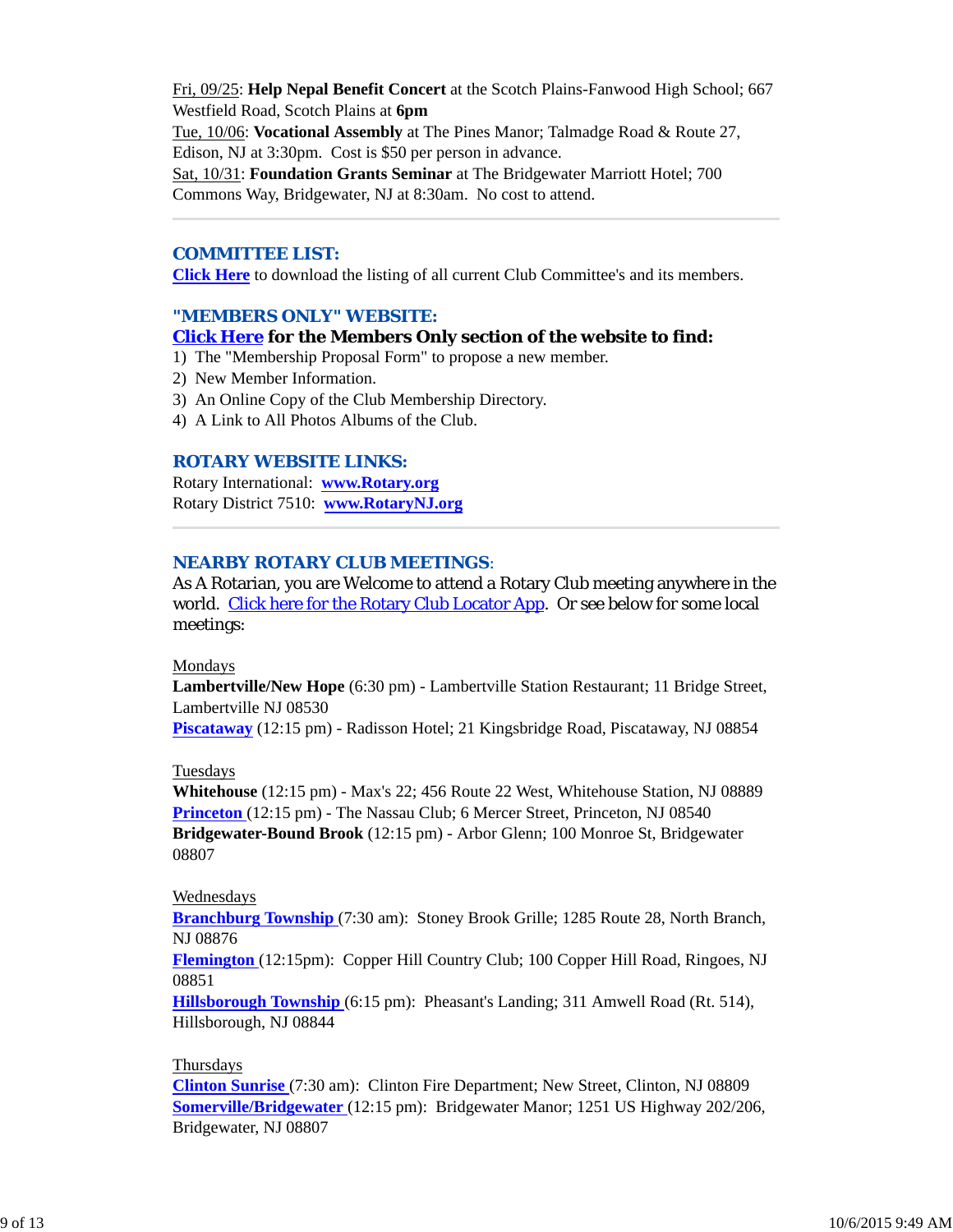Fri, 09/25: **Help Nepal Benefit Concert** at the Scotch Plains-Fanwood High School; 667 Westfield Road, Scotch Plains at **6pm** Tue, 10/06: **Vocational Assembly** at The Pines Manor; Talmadge Road & Route 27, Edison, NJ at 3:30pm. Cost is \$50 per person in advance. Sat, 10/31: **Foundation Grants Seminar** at The Bridgewater Marriott Hotel; 700 Commons Way, Bridgewater, NJ at 8:30am. No cost to attend.

#### *COMMITTEE LIST:*

**Click Here** to download the listing of all current Club Committee's and its members.

#### *"MEMBERS ONLY" WEBSITE:*

#### **Click Here for the Members Only section of the website to find:**

- 1) The "Membership Proposal Form" to propose a new member.
- 2) New Member Information.
- 3) An Online Copy of the Club Membership Directory.
- 4) A Link to All Photos Albums of the Club.

#### *ROTARY WEBSITE LINKS:*

Rotary International: **www.Rotary.org** Rotary District 7510: **www.RotaryNJ.org**

### *NEARBY ROTARY CLUB MEETINGS:*

As A Rotarian, you are Welcome to attend a Rotary Club meeting anywhere in the world. Click here for the Rotary Club Locator App. Or see below for some local meetings:

#### Mondays

**Lambertville/New Hope** (6:30 pm) - Lambertville Station Restaurant; 11 Bridge Street, Lambertville NJ 08530

**Piscataway** (12:15 pm) - Radisson Hotel; 21 Kingsbridge Road, Piscataway, NJ 08854

#### Tuesdays

**Whitehouse** (12:15 pm) - Max's 22; 456 Route 22 West, Whitehouse Station, NJ 08889 **Princeton** (12:15 pm) - The Nassau Club; 6 Mercer Street, Princeton, NJ 08540 **Bridgewater-Bound Brook** (12:15 pm) - Arbor Glenn; 100 Monroe St, Bridgewater 08807

#### Wednesdays

**Branchburg Township** (7:30 am): Stoney Brook Grille; 1285 Route 28, North Branch, NJ 08876

**Flemington** (12:15pm): Copper Hill Country Club; 100 Copper Hill Road, Ringoes, NJ 08851

**Hillsborough Township** (6:15 pm): Pheasant's Landing; 311 Amwell Road (Rt. 514), Hillsborough, NJ 08844

#### Thursdays

**Clinton Sunrise** (7:30 am): Clinton Fire Department; New Street, Clinton, NJ 08809 **Somerville/Bridgewater** (12:15 pm): Bridgewater Manor; 1251 US Highway 202/206, Bridgewater, NJ 08807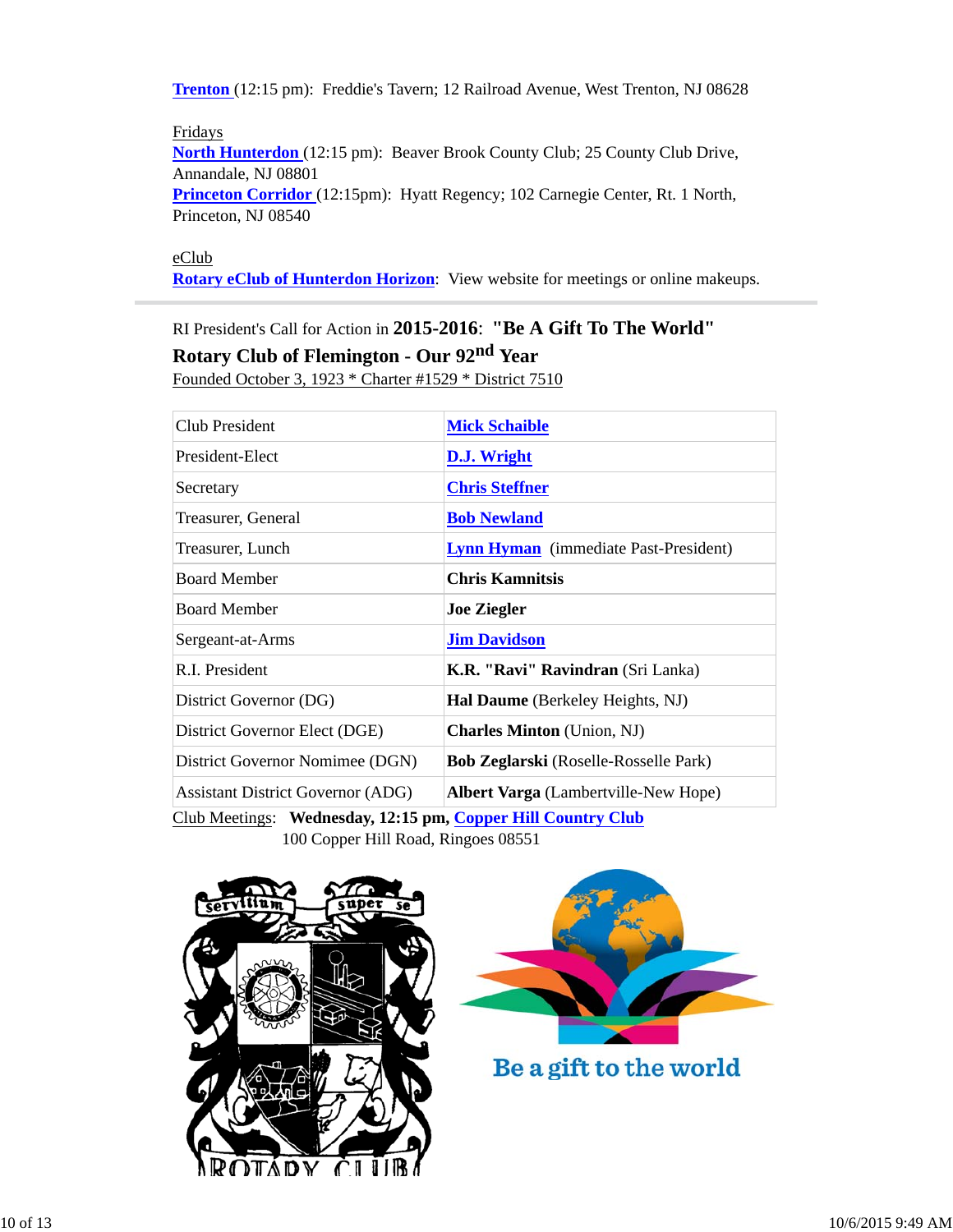**Trenton** (12:15 pm): Freddie's Tavern; 12 Railroad Avenue, West Trenton, NJ 08628

Fridays **North Hunterdon** (12:15 pm): Beaver Brook County Club; 25 County Club Drive, Annandale, NJ 08801 **Princeton Corridor** (12:15pm): Hyatt Regency; 102 Carnegie Center, Rt. 1 North, Princeton, NJ 08540

eClub

**Rotary eClub of Hunterdon Horizon**: View website for meetings or online makeups.

RI President's Call for Action in **2015-2016**: **"Be A Gift To The World"**

**Rotary Club of Flemington - Our 92nd Year**

Founded October 3, 1923 \* Charter #1529 \* District 7510

| <b>Club President</b>                                        | <b>Mick Schaible</b>                         |  |
|--------------------------------------------------------------|----------------------------------------------|--|
| President-Elect                                              | D.J. Wright                                  |  |
| Secretary                                                    | <b>Chris Steffner</b>                        |  |
| Treasurer, General                                           | <b>Bob Newland</b>                           |  |
| Treasurer, Lunch                                             | <b>Lynn Hyman</b> (immediate Past-President) |  |
| <b>Board Member</b>                                          | <b>Chris Kamnitsis</b>                       |  |
| <b>Board Member</b>                                          | <b>Joe Ziegler</b>                           |  |
| Sergeant-at-Arms                                             | <b>Jim Davidson</b>                          |  |
| R.I. President                                               | <b>K.R. "Ravi" Ravindran</b> (Sri Lanka)     |  |
| District Governor (DG)                                       | <b>Hal Daume</b> (Berkeley Heights, NJ)      |  |
| District Governor Elect (DGE)                                | <b>Charles Minton</b> (Union, NJ)            |  |
| District Governor Nomimee (DGN)                              | <b>Bob Zeglarski</b> (Roselle-Rosselle Park) |  |
| <b>Assistant District Governor (ADG)</b>                     | <b>Albert Varga</b> (Lambertville-New Hope)  |  |
| Club Meetings: Wednesday, 12:15 pm, Copper Hill Country Club |                                              |  |

100 Copper Hill Road, Ringoes 08551





Be a gift to the world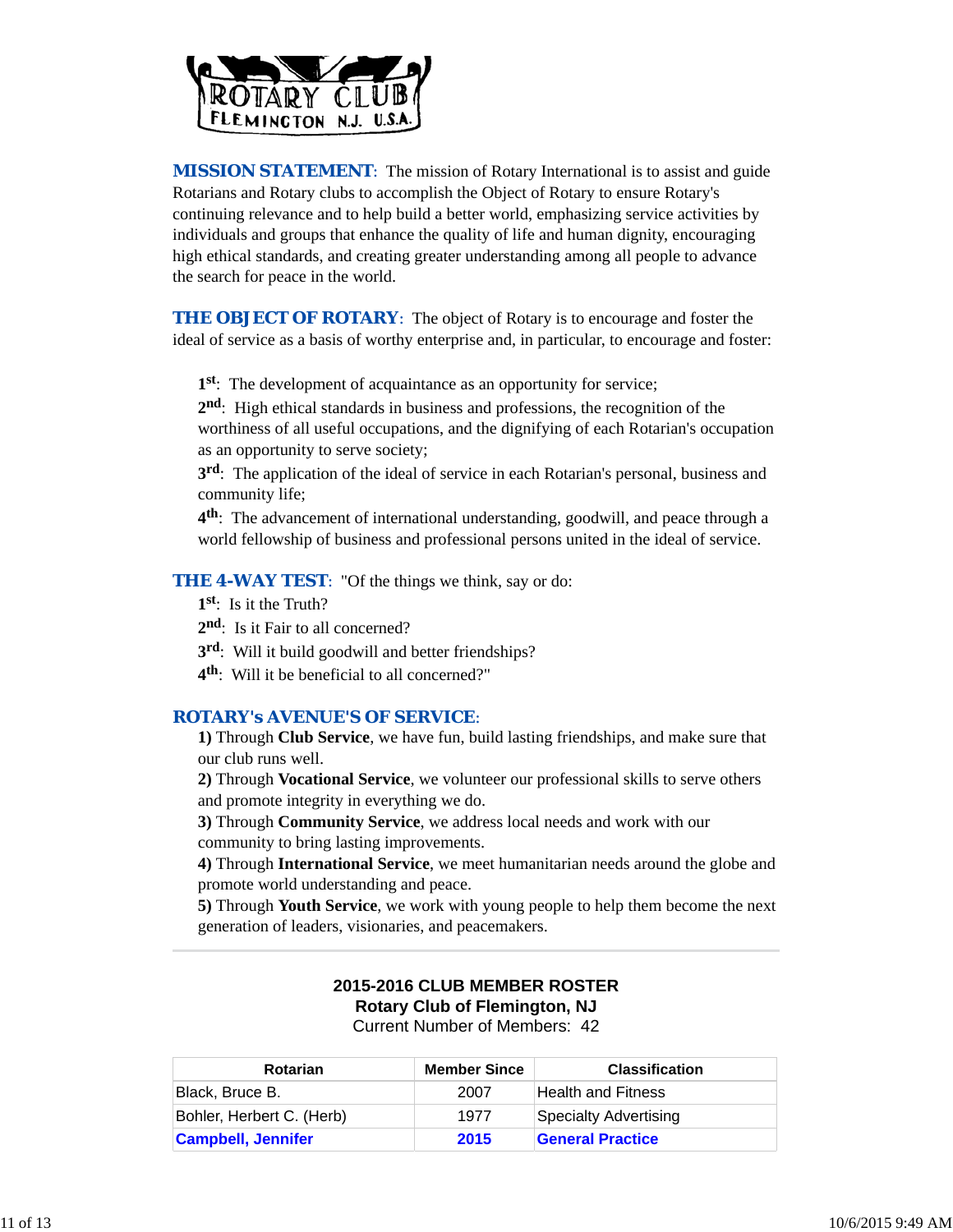

**MISSION STATEMENT:** The mission of Rotary International is to assist and guide Rotarians and Rotary clubs to accomplish the Object of Rotary to ensure Rotary's continuing relevance and to help build a better world, emphasizing service activities by individuals and groups that enhance the quality of life and human dignity, encouraging high ethical standards, and creating greater understanding among all people to advance the search for peace in the world.

**THE OBJECT OF ROTARY:** The object of Rotary is to encourage and foster the ideal of service as a basis of worthy enterprise and, in particular, to encourage and foster:

**1st**: The development of acquaintance as an opportunity for service;

**2nd**: High ethical standards in business and professions, the recognition of the worthiness of all useful occupations, and the dignifying of each Rotarian's occupation as an opportunity to serve society;

**3rd**: The application of the ideal of service in each Rotarian's personal, business and community life;

**4th**: The advancement of international understanding, goodwill, and peace through a world fellowship of business and professional persons united in the ideal of service.

**THE 4-WAY TEST:** "Of the things we think, say or do:

- **1st**: Is it the Truth?
- 2<sup>nd</sup>: Is it Fair to all concerned?
- **3rd**: Will it build goodwill and better friendships?
- **4th**: Will it be beneficial to all concerned?"

## *ROTARY's AVENUE'S OF SERVICE*:

**1)** Through **Club Service**, we have fun, build lasting friendships, and make sure that our club runs well.

**2)** Through **Vocational Service**, we volunteer our professional skills to serve others and promote integrity in everything we do.

**3)** Through **Community Service**, we address local needs and work with our community to bring lasting improvements.

**4)** Through **International Service**, we meet humanitarian needs around the globe and promote world understanding and peace.

**5)** Through **Youth Service**, we work with young people to help them become the next generation of leaders, visionaries, and peacemakers.

## **2015-2016 CLUB MEMBER ROSTER Rotary Club of Flemington, NJ** Current Number of Members: 42

**Rotarian Member Since Classification** Black, Bruce B. 2007 Health and Fitness Bohler, Herbert C. (Herb) 1977 Specialty Advertising **Campbell, Jennifer 2015 General Practice**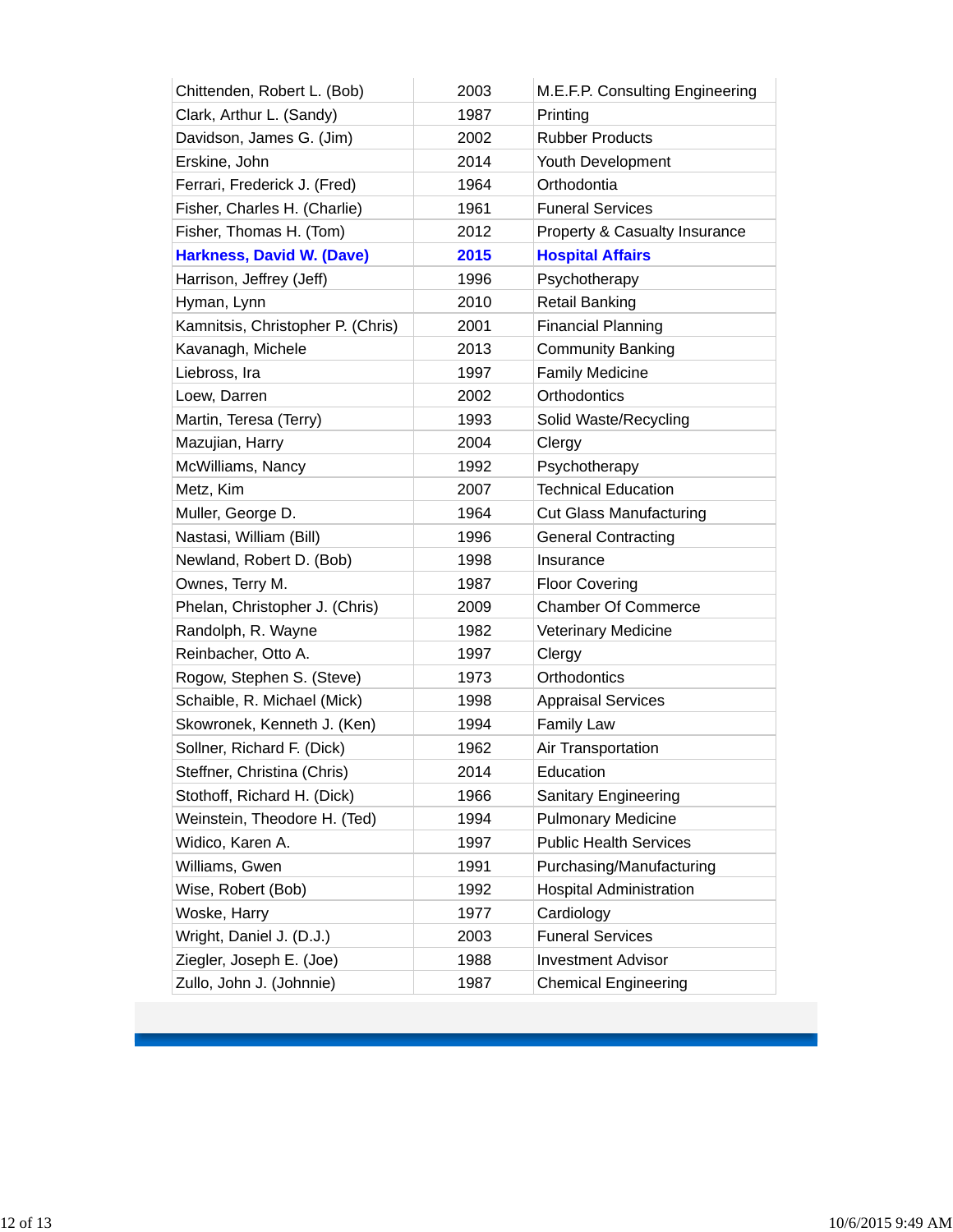| Chittenden, Robert L. (Bob)       | 2003 | M.E.F.P. Consulting Engineering |
|-----------------------------------|------|---------------------------------|
| Clark, Arthur L. (Sandy)          | 1987 | Printing                        |
| Davidson, James G. (Jim)          | 2002 | <b>Rubber Products</b>          |
| Erskine, John                     | 2014 | Youth Development               |
| Ferrari, Frederick J. (Fred)      | 1964 | Orthodontia                     |
| Fisher, Charles H. (Charlie)      | 1961 | <b>Funeral Services</b>         |
| Fisher, Thomas H. (Tom)           | 2012 | Property & Casualty Insurance   |
| <b>Harkness, David W. (Dave)</b>  | 2015 | <b>Hospital Affairs</b>         |
| Harrison, Jeffrey (Jeff)          | 1996 | Psychotherapy                   |
| Hyman, Lynn                       | 2010 | <b>Retail Banking</b>           |
| Kamnitsis, Christopher P. (Chris) | 2001 | <b>Financial Planning</b>       |
| Kavanagh, Michele                 | 2013 | <b>Community Banking</b>        |
| Liebross, Ira                     | 1997 | <b>Family Medicine</b>          |
| Loew, Darren                      | 2002 | <b>Orthodontics</b>             |
| Martin, Teresa (Terry)            | 1993 | Solid Waste/Recycling           |
| Mazujian, Harry                   | 2004 | Clergy                          |
| McWilliams, Nancy                 | 1992 | Psychotherapy                   |
| Metz, Kim                         | 2007 | <b>Technical Education</b>      |
| Muller, George D.                 | 1964 | <b>Cut Glass Manufacturing</b>  |
| Nastasi, William (Bill)           | 1996 | <b>General Contracting</b>      |
| Newland, Robert D. (Bob)          | 1998 | Insurance                       |
| Ownes, Terry M.                   | 1987 | <b>Floor Covering</b>           |
| Phelan, Christopher J. (Chris)    | 2009 | <b>Chamber Of Commerce</b>      |
| Randolph, R. Wayne                | 1982 | <b>Veterinary Medicine</b>      |
| Reinbacher, Otto A.               | 1997 | Clergy                          |
| Rogow, Stephen S. (Steve)         | 1973 | Orthodontics                    |
| Schaible, R. Michael (Mick)       | 1998 | <b>Appraisal Services</b>       |
| Skowronek, Kenneth J. (Ken)       | 1994 | <b>Family Law</b>               |
| Sollner, Richard F. (Dick)        | 1962 | Air Transportation              |
| Steffner, Christina (Chris)       | 2014 | Education                       |
| Stothoff, Richard H. (Dick)       | 1966 | Sanitary Engineering            |
| Weinstein, Theodore H. (Ted)      | 1994 | <b>Pulmonary Medicine</b>       |
| Widico, Karen A.                  | 1997 | <b>Public Health Services</b>   |
| Williams, Gwen                    | 1991 | Purchasing/Manufacturing        |
| Wise, Robert (Bob)                | 1992 | <b>Hospital Administration</b>  |
| Woske, Harry                      | 1977 | Cardiology                      |
| Wright, Daniel J. (D.J.)          | 2003 | <b>Funeral Services</b>         |
| Ziegler, Joseph E. (Joe)          | 1988 | <b>Investment Advisor</b>       |
| Zullo, John J. (Johnnie)          | 1987 | <b>Chemical Engineering</b>     |